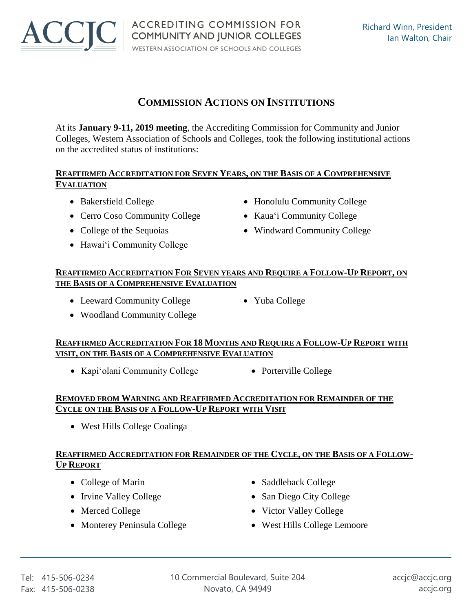# **COMMISSION ACTIONS ON INSTITUTIONS**

At its **January 9-11, 2019 meeting**, the Accrediting Commission for Community and Junior Colleges, Western Association of Schools and Colleges, took the following institutional actions on the accredited status of institutions:

#### **REAFFIRMED ACCREDITATION FOR SEVEN YEARS, ON THE BASIS OF A COMPREHENSIVE EVALUATION**

- 
- Cerro Coso Community College Kaua'i Community College
- 
- Hawai'i Community College
- Bakersfield College Honolulu Community College
	-
- College of the Sequoias Windward Community College

#### **REAFFIRMED ACCREDITATION FOR SEVEN YEARS AND REQUIRE A FOLLOW-UP REPORT, ON THE BASIS OF A COMPREHENSIVE EVALUATION**

- Leeward Community College Yuba College
- Woodland Community College

## **REAFFIRMED ACCREDITATION FOR 18 MONTHS AND REQUIRE A FOLLOW-UP REPORT WITH VISIT, ON THE BASIS OF A COMPREHENSIVE EVALUATION**

- Kapi'olani Community College Porterville College
	-

## **REMOVED FROM WARNING AND REAFFIRMED ACCREDITATION FOR REMAINDER OF THE CYCLE ON THE BASIS OF A FOLLOW-UP REPORT WITH VISIT**

• West Hills College Coalinga

# **REAFFIRMED ACCREDITATION FOR REMAINDER OF THE CYCLE, ON THE BASIS OF A FOLLOW-UP REPORT**

- 
- 
- 
- Monterey Peninsula College **West Hills College Lemoore**
- College of Marin Saddleback College
- Irvine Valley College San Diego City College
- Merced College Victor Valley College
	-



- -